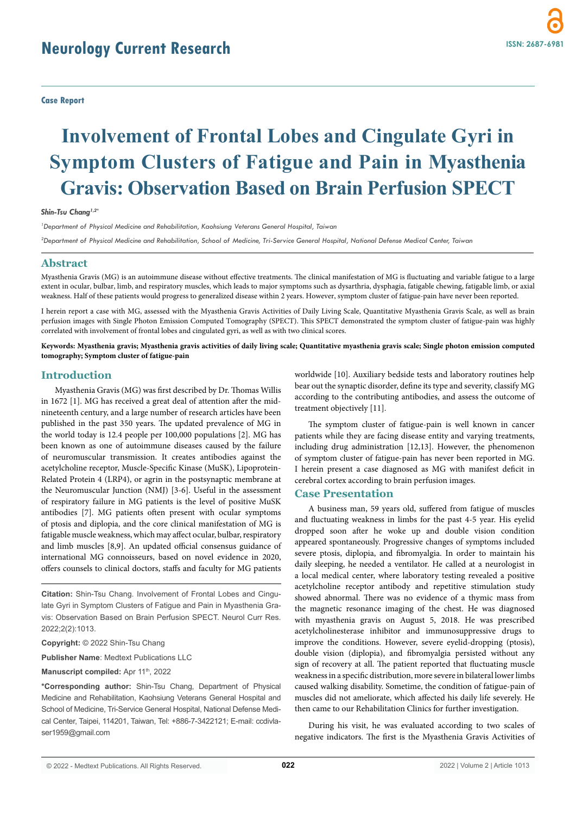# **Neurology Current Research**

**Case Report**

# **Involvement of Frontal Lobes and Cingulate Gyri in Symptom Clusters of Fatigue and Pain in Myasthenia Gravis: Observation Based on Brain Perfusion SPECT**

*Shin-Tsu Chang1,2\**

*1 Department of Physical Medicine and Rehabilitation, Kaohsiung Veterans General Hospital, Taiwan*

*2 Department of Physical Medicine and Rehabilitation, School of Medicine, Tri-Service General Hospital, National Defense Medical Center, Taiwan*

#### **Abstract**

Myasthenia Gravis (MG) is an autoimmune disease without effective treatments. The clinical manifestation of MG is fluctuating and variable fatigue to a large extent in ocular, bulbar, limb, and respiratory muscles, which leads to major symptoms such as dysarthria, dysphagia, fatigable chewing, fatigable limb, or axial weakness. Half of these patients would progress to generalized disease within 2 years. However, symptom cluster of fatigue-pain have never been reported.

I herein report a case with MG, assessed with the Myasthenia Gravis Activities of Daily Living Scale, Quantitative Myasthenia Gravis Scale, as well as brain perfusion images with Single Photon Emission Computed Tomography (SPECT). This SPECT demonstrated the symptom cluster of fatigue-pain was highly correlated with involvement of frontal lobes and cingulated gyri, as well as with two clinical scores.

**Keywords: Myasthenia gravis; Myasthenia gravis activities of daily living scale; Quantitative myasthenia gravis scale; Single photon emission computed tomography; Symptom cluster of fatigue-pain**

# **Introduction**

Myasthenia Gravis (MG) was first described by Dr. Thomas Willis in 1672 [1]. MG has received a great deal of attention after the midnineteenth century, and a large number of research articles have been published in the past 350 years. The updated prevalence of MG in the world today is 12.4 people per 100,000 populations [2]. MG has been known as one of autoimmune diseases caused by the failure of neuromuscular transmission. It creates antibodies against the acetylcholine receptor, Muscle-Specific Kinase (MuSK), Lipoprotein-Related Protein 4 (LRP4), or agrin in the postsynaptic membrane at the Neuromuscular Junction (NMJ) [3-6]. Useful in the assessment of respiratory failure in MG patients is the level of positive MuSK antibodies [7]. MG patients often present with ocular symptoms of ptosis and diplopia, and the core clinical manifestation of MG is fatigable muscle weakness, which may affect ocular, bulbar, respiratory and limb muscles [8,9]. An updated official consensus guidance of international MG connoisseurs, based on novel evidence in 2020, offers counsels to clinical doctors, staffs and faculty for MG patients

**Citation:** Shin-Tsu Chang. Involvement of Frontal Lobes and Cingulate Gyri in Symptom Clusters of Fatigue and Pain in Myasthenia Gravis: Observation Based on Brain Perfusion SPECT. Neurol Curr Res. 2022;2(2):1013.

#### **Copyright:** © 2022 Shin-Tsu Chang

**Publisher Name**: Medtext Publications LLC

#### **Manuscript compiled:** Apr 11<sup>th</sup>, 2022

**\*Corresponding author:** Shin-Tsu Chang, Department of Physical Medicine and Rehabilitation, Kaohsiung Veterans General Hospital and School of Medicine, Tri-Service General Hospital, National Defense Medical Center, Taipei, 114201, Taiwan, Tel: +886-7-3422121; E-mail: ccdivlaser1959@gmail.com

worldwide [10]. Auxiliary bedside tests and laboratory routines help bear out the synaptic disorder, define its type and severity, classify MG according to the contributing antibodies, and assess the outcome of treatment objectively [11].

The symptom cluster of fatigue-pain is well known in cancer patients while they are facing disease entity and varying treatments, including drug administration [12,13]. However, the phenomenon of symptom cluster of fatigue-pain has never been reported in MG. I herein present a case diagnosed as MG with manifest deficit in cerebral cortex according to brain perfusion images.

# **Case Presentation**

A business man, 59 years old, suffered from fatigue of muscles and fluctuating weakness in limbs for the past 4-5 year. His eyelid dropped soon after he woke up and double vision condition appeared spontaneously. Progressive changes of symptoms included severe ptosis, diplopia, and fibromyalgia. In order to maintain his daily sleeping, he needed a ventilator. He called at a neurologist in a local medical center, where laboratory testing revealed a positive acetylcholine receptor antibody and repetitive stimulation study showed abnormal. There was no evidence of a thymic mass from the magnetic resonance imaging of the chest. He was diagnosed with myasthenia gravis on August 5, 2018. He was prescribed acetylcholinesterase inhibitor and immunosuppressive drugs to improve the conditions. However, severe eyelid-dropping (ptosis), double vision (diplopia), and fibromyalgia persisted without any sign of recovery at all. The patient reported that fluctuating muscle weakness in a specific distribution, more severe in bilateral lower limbs caused walking disability. Sometime, the condition of fatigue-pain of muscles did not ameliorate, which affected his daily life severely. He then came to our Rehabilitation Clinics for further investigation.

During his visit, he was evaluated according to two scales of negative indicators. The first is the Myasthenia Gravis Activities of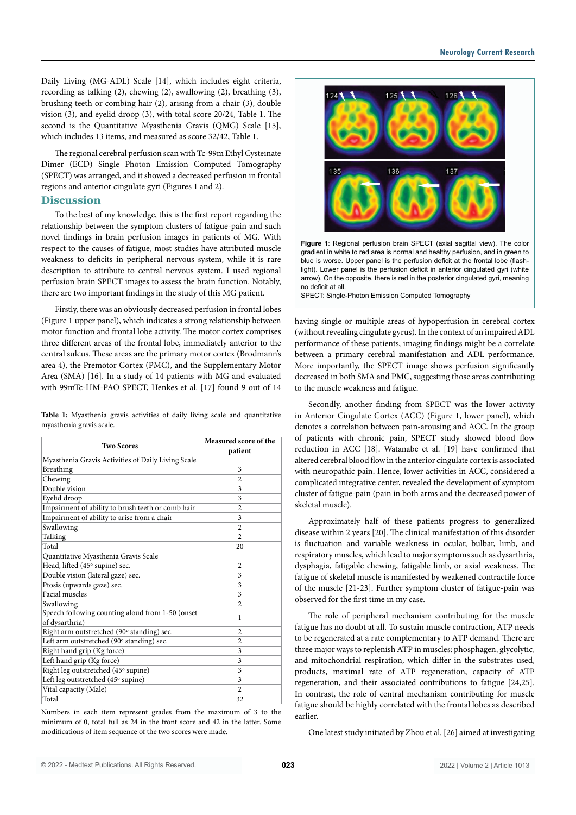Daily Living (MG-ADL) Scale [14], which includes eight criteria, recording as talking (2), chewing (2), swallowing (2), breathing (3), brushing teeth or combing hair (2), arising from a chair (3), double vision (3), and eyelid droop (3), with total score 20/24, Table 1. The second is the Quantitative Myasthenia Gravis (OMG) Scale [15], which includes 13 items, and measured as score 32/42, Table 1.

The regional cerebral perfusion scan with Tc-99m Ethyl Cysteinate Dimer (ECD) Single Photon Emission Computed Tomography (SPECT) was arranged, and it showed a decreased perfusion in frontal regions and anterior cingulate gyri (Figures 1 and 2).

## **Discussion**

To the best of my knowledge, this is the first report regarding the relationship between the symptom clusters of fatigue-pain and such novel findings in brain perfusion images in patients of MG. With respect to the causes of fatigue, most studies have attributed muscle weakness to deficits in peripheral nervous system, while it is rare description to attribute to central nervous system. I used regional perfusion brain SPECT images to assess the brain function. Notably, there are two important findings in the study of this MG patient.

Firstly, there was an obviously decreased perfusion in frontal lobes (Figure 1 upper panel), which indicates a strong relationship between motor function and frontal lobe activity. The motor cortex comprises three different areas of the frontal lobe, immediately anterior to the central sulcus. These areas are the primary motor cortex (Brodmann's area 4), the Premotor Cortex (PMC), and the Supplementary Motor Area (SMA) [16]. In a study of 14 patients with MG and evaluated with 99mTc-HM-PAO SPECT, Henkes et al. [17] found 9 out of 14

|  | Table 1: Myasthenia gravis activities of daily living scale and quantitative |  |  |  |  |  |
|--|------------------------------------------------------------------------------|--|--|--|--|--|
|  | myasthenia gravis scale.                                                     |  |  |  |  |  |

| <b>Two Scores</b>                                                  | Measured score of the<br>patient |  |  |  |  |  |
|--------------------------------------------------------------------|----------------------------------|--|--|--|--|--|
| Myasthenia Gravis Activities of Daily Living Scale                 |                                  |  |  |  |  |  |
| Breathing                                                          | 3                                |  |  |  |  |  |
| Chewing                                                            | $\overline{c}$                   |  |  |  |  |  |
| Double vision                                                      | 3                                |  |  |  |  |  |
| Evelid droop                                                       | 3                                |  |  |  |  |  |
| Impairment of ability to brush teeth or comb hair                  | $\overline{2}$                   |  |  |  |  |  |
| Impairment of ability to arise from a chair                        | 3                                |  |  |  |  |  |
| Swallowing                                                         | $\mathfrak{D}$                   |  |  |  |  |  |
| Talking                                                            | $\mathfrak{D}$                   |  |  |  |  |  |
| Total                                                              | 20                               |  |  |  |  |  |
| Quantitative Myasthenia Gravis Scale                               |                                  |  |  |  |  |  |
| Head, lifted (45° supine) sec.                                     | 2                                |  |  |  |  |  |
| Double vision (lateral gaze) sec.                                  | 3                                |  |  |  |  |  |
| Ptosis (upwards gaze) sec.                                         | 3                                |  |  |  |  |  |
| Facial muscles                                                     | 3                                |  |  |  |  |  |
| Swallowing                                                         | $\overline{c}$                   |  |  |  |  |  |
| Speech following counting aloud from 1-50 (onset<br>of dysarthria) | 1                                |  |  |  |  |  |
| Right arm outstretched (90° standing) sec.                         | $\overline{c}$                   |  |  |  |  |  |
| Left arm outstretched (90° standing) sec.                          | $\overline{c}$                   |  |  |  |  |  |
| Right hand grip (Kg force)                                         | 3                                |  |  |  |  |  |
| Left hand grip (Kg force)                                          | 3                                |  |  |  |  |  |
| Right leg outstretched (45° supine)                                | 3                                |  |  |  |  |  |
| Left leg outstretched (45° supine)                                 | 3                                |  |  |  |  |  |
| Vital capacity (Male)                                              | $\mathfrak{D}$                   |  |  |  |  |  |
| Total                                                              | 32                               |  |  |  |  |  |

Numbers in each item represent grades from the maximum of 3 to the minimum of 0, total full as 24 in the front score and 42 in the latter. Some modifications of item sequence of the two scores were made.



**Figure 1**: Regional perfusion brain SPECT (axial sagittal view). The color gradient in white to red area is normal and healthy perfusion, and in green to blue is worse. Upper panel is the perfusion deficit at the frontal lobe (flashlight). Lower panel is the perfusion deficit in anterior cingulated gyri (white arrow). On the opposite, there is red in the posterior cingulated gyri, meaning no deficit at all.

SPECT: Single-Photon Emission Computed Tomography

having single or multiple areas of hypoperfusion in cerebral cortex (without revealing cingulate gyrus). In the context of an impaired ADL performance of these patients, imaging findings might be a correlate between a primary cerebral manifestation and ADL performance. More importantly, the SPECT image shows perfusion significantly decreased in both SMA and PMC, suggesting those areas contributing to the muscle weakness and fatigue.

Secondly, another finding from SPECT was the lower activity in Anterior Cingulate Cortex (ACC) (Figure 1, lower panel), which denotes a correlation between pain-arousing and ACC. In the group of patients with chronic pain, SPECT study showed blood flow reduction in ACC [18]. Watanabe et al. [19] have confirmed that altered cerebral blood flow in the anterior cingulate cortex is associated with neuropathic pain. Hence, lower activities in ACC, considered a complicated integrative center, revealed the development of symptom cluster of fatigue-pain (pain in both arms and the decreased power of skeletal muscle).

Approximately half of these patients progress to generalized disease within 2 years [20]. The clinical manifestation of this disorder is fluctuation and variable weakness in ocular, bulbar, limb, and respiratory muscles, which lead to major symptoms such as dysarthria, dysphagia, fatigable chewing, fatigable limb, or axial weakness. The fatigue of skeletal muscle is manifested by weakened contractile force of the muscle [21-23]. Further symptom cluster of fatigue-pain was observed for the first time in my case.

The role of peripheral mechanism contributing for the muscle fatigue has no doubt at all. To sustain muscle contraction, ATP needs to be regenerated at a rate complementary to ATP demand. There are three major ways to replenish ATP in muscles: phosphagen, glycolytic, and mitochondrial respiration, which differ in the substrates used, products, maximal rate of ATP regeneration, capacity of ATP regeneration, and their associated contributions to fatigue [24,25]. In contrast, the role of central mechanism contributing for muscle fatigue should be highly correlated with the frontal lobes as described earlier.

One latest study initiated by Zhou et al. [26] aimed at investigating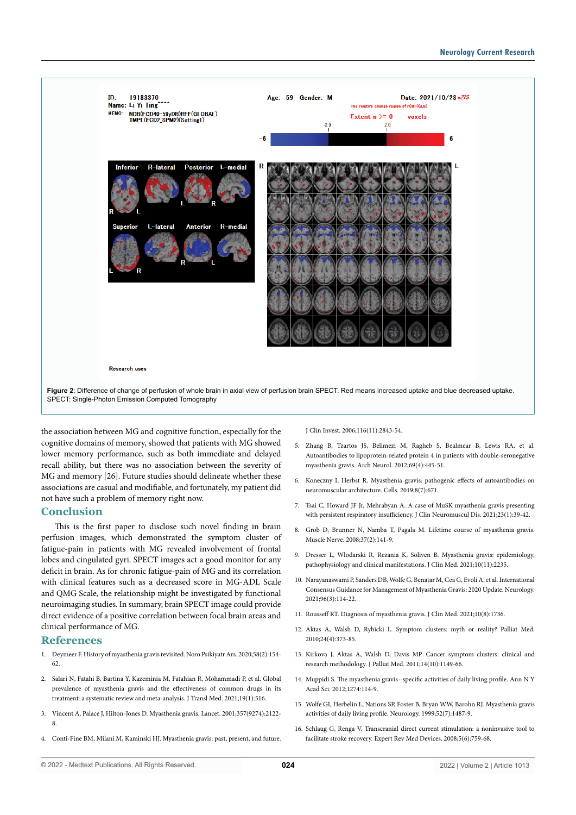

the association between MG and cognitive function, especially for the cognitive domains of memory, showed that patients with MG showed lower memory performance, such as both immediate and delayed recall ability, but there was no association between the severity of MG and memory [26]. Future studies should delineate whether these associations are casual and modifiable, and fortunately, my patient did not have such a problem of memory right now.

## **Conclusion**

This is the first paper to disclose such novel finding in brain perfusion images, which demonstrated the symptom cluster of fatigue-pain in patients with MG revealed involvement of frontal lobes and cingulated gyri. SPECT images act a good monitor for any deficit in brain. As for chronic fatigue-pain of MG and its correlation with clinical features such as a decreased score in MG-ADL Scale and QMG Scale, the relationship might be investigated by functional neuroimaging studies. In summary, brain SPECT image could provide direct evidence of a positive correlation between focal brain areas and clinical performance of MG.

# **References**

- 1. Deymeer F. History of myasthenia gravis revisited. Noro Psikiyatr Ars. 2020;58(2):154- 62.
- 2. Salari N, Fatahi B, Bartina Y, Kazeminia M, Fatahian R, Mohammadi P, et al. Global prevalence of myasthenia gravis and the effectiveness of common drugs in its treatment: a systematic review and meta-analysis. J Transl Med. 2021;19(1):516.
- 3. Vincent A, Palace J, Hilton-Jones D. Myasthenia gravis. Lancet. 2001;357(9274):2122- 8.
- 4. Conti-Fine BM, Milani M, Kaminski HJ. Myasthenia gravis: past, present, and future.

J Clin Invest. 2006;116(11):2843-54.

- 5. Zhang B, Tzartos JS, Belimezi M, Ragheb S, Bealmear B, Lewis RA, et al. Autoantibodies to lipoprotein-related protein 4 in patients with double-seronegative myasthenia gravis. Arch Neurol. 2012;69(4):445-51.
- 6. Koneczny I, Herbst R. Myasthenia gravis: pathogenic effects of autoantibodies on neuromuscular architecture. Cells. 2019;8(7):671.
- 7. Tsai C, Howard JF Jr, Mehrabyan A. A case of MuSK myasthenia gravis presenting with persistent respiratory insufficiency. J Clin Neuromuscul Dis. 2021;23(1):39-42.
- 8. Grob D, Brunner N, Namba T, Pagala M. Lifetime course of myasthenia gravis. Muscle Nerve. 2008;37(2):141-9.
- 9. Dresser L, Wlodarski R, Rezania K, Soliven B. Myasthenia gravis: epidemiology, pathophysiology and clinical manifestations. J Clin Med. 2021;10(11):2235.
- 10. Narayanaswami P, Sanders DB, Wolfe G, Benatar M, Cea G, Evoli A, et al. International Consensus Guidance for Management of Myasthenia Gravis: 2020 Update. Neurology. 2021;96(3):114-22.
- 11. Rousseff RT. Diagnosis of myasthenia gravis. J Clin Med. 2021;10(8):1736.
- 12. Aktas A, Walsh D, Rybicki L. Symptom clusters: myth or reality? Palliat Med. 2010;24(4):373-85.
- 13. Kirkova J, Aktas A, Walsh D, Davis MP. Cancer symptom clusters: clinical and research methodology. J Palliat Med. 2011;14(10):1149-66.
- 14. Muppidi S. The myasthenia gravis--specific activities of daily living profile. Ann N Y Acad Sci. 2012;1274:114-9.
- 15. Wolfe GI, Herbelin L, Nations SP, Foster B, Bryan WW, Barohn RJ. Myasthenia gravis activities of daily living profile. Neurology. 1999;52(7):1487-9.
- 16. Schlaug G, Renga V. Transcranial direct current stimulation: a noninvasive tool to facilitate stroke recovery. Expert Rev Med Devices. 2008;5(6):759-68.